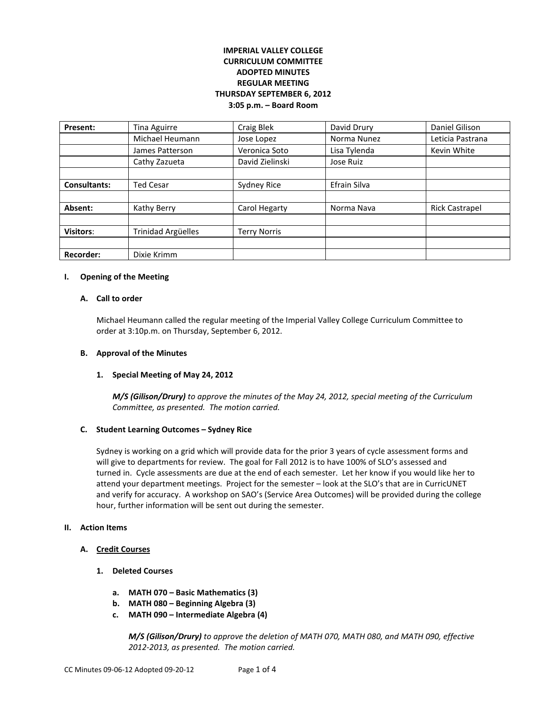## **IMPERIAL VALLEY COLLEGE CURRICULUM COMMITTEE ADOPTED MINUTES REGULAR MEETING THURSDAY SEPTEMBER 6, 2012 3:05 p.m. – Board Room**

| Present:            | Tina Aguirre              | Craig Blek          | David Drury         | Daniel Gilison        |
|---------------------|---------------------------|---------------------|---------------------|-----------------------|
|                     | Michael Heumann           | Jose Lopez          | Norma Nunez         | Leticia Pastrana      |
|                     | James Patterson           | Veronica Soto       | Lisa Tylenda        | Kevin White           |
|                     | Cathy Zazueta             | David Zielinski     | Jose Ruiz           |                       |
|                     |                           |                     |                     |                       |
| <b>Consultants:</b> | <b>Ted Cesar</b>          | Sydney Rice         | <b>Efrain Silva</b> |                       |
|                     |                           |                     |                     |                       |
| Absent:             | Kathy Berry               | Carol Hegarty       | Norma Nava          | <b>Rick Castrapel</b> |
|                     |                           |                     |                     |                       |
| <b>Visitors:</b>    | <b>Trinidad Argüelles</b> | <b>Terry Norris</b> |                     |                       |
|                     |                           |                     |                     |                       |
| <b>Recorder:</b>    | Dixie Krimm               |                     |                     |                       |

#### **I. Opening of the Meeting**

#### **A. Call to order**

Michael Heumann called the regular meeting of the Imperial Valley College Curriculum Committee to order at 3:10p.m. on Thursday, September 6, 2012.

#### **B. Approval of the Minutes**

#### **1. Special Meeting of May 24, 2012**

*M/S (Gilison/Drury) to approve the minutes of the May 24, 2012, special meeting of the Curriculum Committee, as presented. The motion carried.* 

#### **C. Student Learning Outcomes – Sydney Rice**

Sydney is working on a grid which will provide data for the prior 3 years of cycle assessment forms and will give to departments for review. The goal for Fall 2012 is to have 100% of SLO's assessed and turned in. Cycle assessments are due at the end of each semester. Let her know if you would like her to attend your department meetings. Project for the semester – look at the SLO's that are in CurricUNET and verify for accuracy. A workshop on SAO's (Service Area Outcomes) will be provided during the college hour, further information will be sent out during the semester.

### **II. Action Items**

#### **A. Credit Courses**

- **1. Deleted Courses**
	- **a. MATH 070 – Basic Mathematics (3)**
	- **b. MATH 080 – Beginning Algebra (3)**
	- **c. MATH 090 – Intermediate Algebra (4)**

*M/S (Gilison/Drury) to approve the deletion of MATH 070, MATH 080, and MATH 090, effective 2012-2013, as presented. The motion carried.*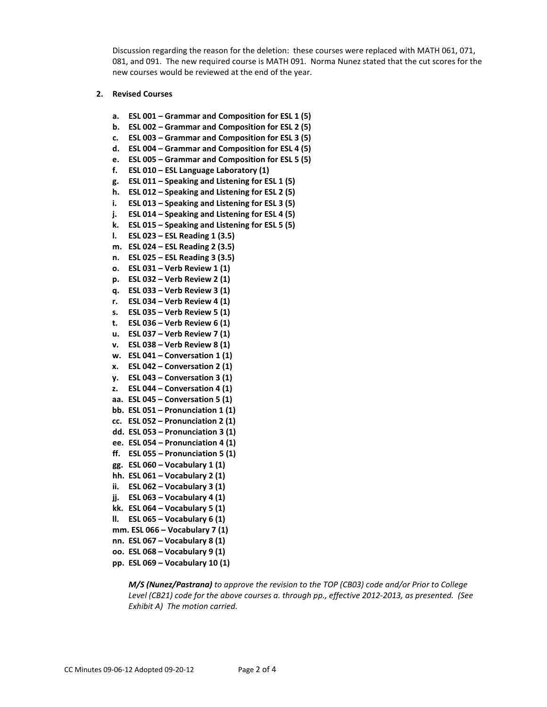Discussion regarding the reason for the deletion: these courses were replaced with MATH 061, 071, 081, and 091. The new required course is MATH 091. Norma Nunez stated that the cut scores for the new courses would be reviewed at the end of the year.

#### **2. Revised Courses**

- **a. ESL 001 – Grammar and Composition for ESL 1 (5)**
- **b. ESL 002 – Grammar and Composition for ESL 2 (5)**
- **c. ESL 003 – Grammar and Composition for ESL 3 (5)**
- **d. ESL 004 – Grammar and Composition for ESL 4 (5)**
- **e. ESL 005 – Grammar and Composition for ESL 5 (5)**
- **f. ESL 010 – ESL Language Laboratory (1)**
- **g. ESL 011 – Speaking and Listening for ESL 1 (5)**
- **h. ESL 012 – Speaking and Listening for ESL 2 (5)**
- **i. ESL 013 – Speaking and Listening for ESL 3 (5)**
- **j. ESL 014 – Speaking and Listening for ESL 4 (5)**
- **k. ESL 015 – Speaking and Listening for ESL 5 (5)**
- **l. ESL 023 – ESL Reading 1 (3.5)**
- **m. ESL 024 – ESL Reading 2 (3.5)**
- **n. ESL 025 – ESL Reading 3 (3.5)**
- **o. ESL 031 – Verb Review 1 (1)**
- **p. ESL 032 – Verb Review 2 (1)**
- **q. ESL 033 – Verb Review 3 (1)**
- **r. ESL 034 – Verb Review 4 (1)**
- **s. ESL 035 – Verb Review 5 (1)**
- **t. ESL 036 – Verb Review 6 (1)**
- **u. ESL 037 – Verb Review 7 (1)**
- **v. ESL 038 – Verb Review 8 (1)**
- **w. ESL 041 – Conversation 1 (1)**
- **x. ESL 042 – Conversation 2 (1)**
- **y. ESL 043 – Conversation 3 (1)**
- **z. ESL 044 – Conversation 4 (1)**
- **aa. ESL 045 – Conversation 5 (1)**
- **bb. ESL 051 – Pronunciation 1 (1)**
- **cc. ESL 052 – Pronunciation 2 (1)**
- **dd. ESL 053 – Pronunciation 3 (1)**
- **ee. ESL 054 – Pronunciation 4 (1)**
- **ff. ESL 055 – Pronunciation 5 (1)**
- **gg. ESL 060 – Vocabulary 1 (1)**
- **hh. ESL 061 – Vocabulary 2 (1)**
- **ii. ESL 062 – Vocabulary 3 (1)**
- **jj. ESL 063 – Vocabulary 4 (1)**
- **kk. ESL 064 – Vocabulary 5 (1)**
- **ll. ESL 065 – Vocabulary 6 (1)**
- **mm. ESL 066 – Vocabulary 7 (1)**
- **nn. ESL 067 – Vocabulary 8 (1)**
- **oo. ESL 068 – Vocabulary 9 (1)**
- **pp. ESL 069 – Vocabulary 10 (1)**

*M/S (Nunez/Pastrana) to approve the revision to the TOP (CB03) code and/or Prior to College Level (CB21) code for the above courses a. through pp., effective 2012-2013, as presented. (See Exhibit A) The motion carried.*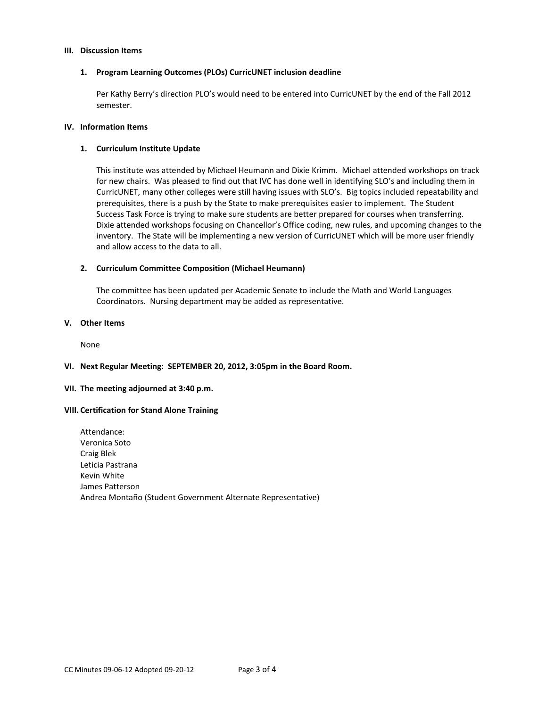#### **III. Discussion Items**

#### **1. Program Learning Outcomes (PLOs) CurricUNET inclusion deadline**

Per Kathy Berry's direction PLO's would need to be entered into CurricUNET by the end of the Fall 2012 semester.

#### **IV. Information Items**

#### **1. Curriculum Institute Update**

This institute was attended by Michael Heumann and Dixie Krimm. Michael attended workshops on track for new chairs. Was pleased to find out that IVC has done well in identifying SLO's and including them in CurricUNET, many other colleges were still having issues with SLO's. Big topics included repeatability and prerequisites, there is a push by the State to make prerequisites easier to implement. The Student Success Task Force is trying to make sure students are better prepared for courses when transferring. Dixie attended workshops focusing on Chancellor's Office coding, new rules, and upcoming changes to the inventory. The State will be implementing a new version of CurricUNET which will be more user friendly and allow access to the data to all.

#### **2. Curriculum Committee Composition (Michael Heumann)**

The committee has been updated per Academic Senate to include the Math and World Languages Coordinators. Nursing department may be added as representative.

#### **V. Other Items**

None

#### **VI. Next Regular Meeting: SEPTEMBER 20, 2012, 3:05pm in the Board Room.**

#### **VII. The meeting adjourned at 3:40 p.m.**

#### **VIII. Certification for Stand Alone Training**

Attendance: Veronica Soto Craig Blek Leticia Pastrana Kevin White James Patterson Andrea Montaño (Student Government Alternate Representative)